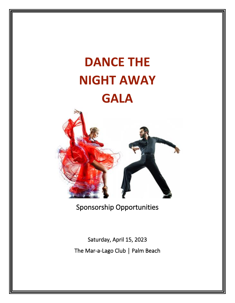# **DANCE THE NIGHT AWAY GALA**



Sponsorship Opportunities

Saturday, April 15, 2023 The Mar-a-Lago Club | Palm Beach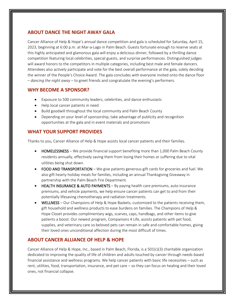# **ABOUT DANCE THE NIGHT AWAY GALA**

Cancer Alliance of Help & Hope's annual dance competition and gala is scheduled for Saturday, April 15, 2023, beginning at 6:00 p.m. at Mar-a-Lago in Palm Beach. Guests fortunate enough to reserve seats at this highly anticipated and glamorous gala will enjoy a delicious dinner, followed by a thrilling dance competition featuring local celebrities, special guests, and surprise performances. Distinguished judges will award honors to the competitors in multiple categories, including best male and female dancers. Attendees also actively participate and vote for the best overall performance at the gala, solely deciding the winner of the People's Choice Award. The gala concludes with everyone invited onto the dance floor – *dancing the night away* – to greet friends and congratulate the evening's performers.

## **WHY BECOME A SPONSOR?**

- Exposure to 500 community leaders, celebrities, and dance enthusiasts
- Help local cancer patients in need
- Build goodwill throughout the local community and Palm Beach County
- Depending on your level of sponsorship, take advantage of publicity and recognition opportunities at the gala and in event materials and promotions

# **WHAT YOUR SUPPORT PROVIDES**

Thanks to you, Cancer Alliance of Help & Hope assists local cancer patients and their families.

- HOMELESSNESS We provide financial support benefiting more than 1,000 Palm Beach County residents annually, effectively saving them from losing their homes or suffering due to vital utilities being shut down.
- FOOD AND TRANSPORTATION We give patients generous gift cards for groceries and fuel. We also gift hearty holiday meals for families, including an annual Thanksgiving Giveaway in partnership with the Palm Beach Fire Department.
- HEALTH INSURANCE & AUTO PAYMENTS By paying health care premiums, auto insurance premiums, and vehicle payments, we help ensure cancer patients can get to and from their potentially lifesaving chemotherapy and radiation treatments.
- WELLNESS Our Champions of Help & Hope Baskets, customized to the patients receiving them, gift household and wellness products to ease burdens on families. The Champions of Help & Hope Closet provides complimentary wigs, scarves, caps, handbags, and other items to give patients a boost. Our newest program, Companions 4 Life, assists patients with pet food, supplies, and veterinary care so beloved pets can remain in safe and comfortable homes, giving their loved ones unconditional affection during the most difficult of times.

# **ABOUT CANCER ALLIANCE OF HELP & HOPE**

Cancer Alliance of Help & Hope, Inc., based in Palm Beach, Florida, is a 501(c)(3) charitable organization dedicated to improving the quality of life of children and adults touched by cancer through needs-based financial assistance and wellness programs. We help cancer patients with basic life necessities – such as rent, utilities, food, transportation, insurance, and pet care – so they can focus on healing and their loved ones, not financial collapse.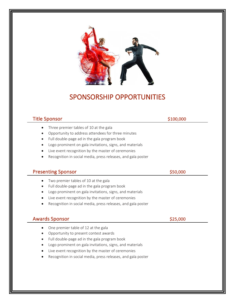

# SPONSORSHIP OPPORTUNITIES

# Title Sponsor **\$100,000**

- Three premier tables of 10 at the gala
- Opportunity to address attendees for three minutes
- Full double-page ad in the gala program book
- Logo prominent on gala invitations, signs, and materials
- Live event recognition by the master of ceremonies
- Recognition in social media, press releases, and gala poster

# Presenting Sponsor  $\sim$  \$50,000

- Two premier tables of 10 at the gala
- Full double-page ad in the gala program book
- Logo prominent on gala invitations, signs, and materials
- Live event recognition by the master of ceremonies
- Recognition in social media, press releases, and gala poster

# Awards Sponsor  $\sim$  \$25,000

- One premier table of 12 at the gala
- Opportunity to present contest awards
- Full double-page ad in the gala program book
- Logo prominent on gala invitations, signs, and materials
- Live event recognition by the master of ceremonies
- Recognition in social media, press releases, and gala poster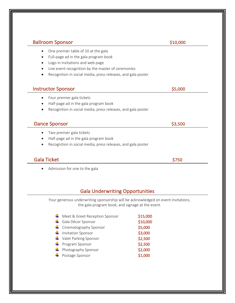| <b>Ballroom Sponsor</b>                                                   | \$10,000 |
|---------------------------------------------------------------------------|----------|
| One premier table of 10 at the gala                                       |          |
| Full-page ad in the gala program book<br>$\bullet$                        |          |
| Logo in invitations and web page<br>$\bullet$                             |          |
| Live event recognition by the master of ceremonies<br>$\bullet$           |          |
| Recognition in social media, press releases, and gala poster              |          |
| <b>Instructor Sponsor</b>                                                 | \$5,000  |
| Four premier gala tickets<br>$\bullet$                                    |          |
| Half-page ad in the gala program book<br>$\bullet$                        |          |
| Recognition in social media, press releases, and gala poster<br>$\bullet$ |          |
|                                                                           |          |
| <b>Dance Sponsor</b>                                                      | \$3,500  |
| Two premier gala tickets<br>$\bullet$                                     |          |
| Half-page ad in the gala program book<br>$\bullet$                        |          |
| Recognition in social media, press releases, and gala poster<br>$\bullet$ |          |
| <b>Gala Ticket</b>                                                        | \$750    |
| Admission for one to the gala<br>$\bullet$                                |          |
|                                                                           |          |
|                                                                           |          |
| <b>Gala Underwriting Opportunities</b>                                    |          |

Your generous underwriting sponsorship will be acknowledged on event invitations, the gala program book, and signage at the event.

| ← Meet & Greet Reception Sponsor    | \$15,000 |
|-------------------------------------|----------|
| + Gala Décor Sponsor                | \$10,000 |
| $\leftarrow$ Cinematography Sponsor | \$5,000  |
| Invitation Sponsor                  | \$3,000  |
| Valet Parking Sponsor               | \$2,500  |
| $\leftarrow$ Program Sponsor        | \$2,500  |
| + Photography Sponsor               | \$2,000  |
| ← Postage Sponsor                   | \$1,000  |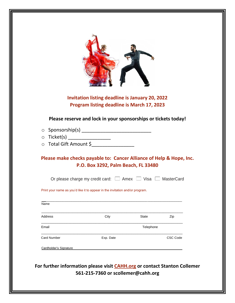# **Invitation listing deadline is January 20, 2022 Program listing deadline is March 17, 2023**

**Please reserve and lock in your sponsorships or tickets today!**

- o Sponsorship(s) \_\_\_\_\_\_\_\_\_\_\_\_\_\_\_\_\_\_\_\_\_\_\_\_\_\_
- o Ticket(s) \_\_\_\_\_\_\_\_\_\_\_\_\_\_\_\_\_\_\_\_\_\_
- o Total Gift Amount \$\_\_\_\_\_\_\_\_\_\_\_\_\_\_\_\_\_\_\_

**Please make checks payable to: Cancer Alliance of Help & Hope, Inc. P.O. Box 3292, Palm Beach, FL 33480**

Or please charge my credit card:  $\Box$  Amex  $\Box$  Visa  $\Box$  MasterCard

Print your name as you'd like it to appear in the invitation and/or program.

| Name               |           |              |          |
|--------------------|-----------|--------------|----------|
| Address            | City      | <b>State</b> | Zip      |
| Email              |           | Telephone    |          |
| <b>Card Number</b> | Exp. Date |              | CSC Code |

**For further information please visit CAHH.org or contact Stanton Collemer 561-215-7360 or scollemer@cahh.org**